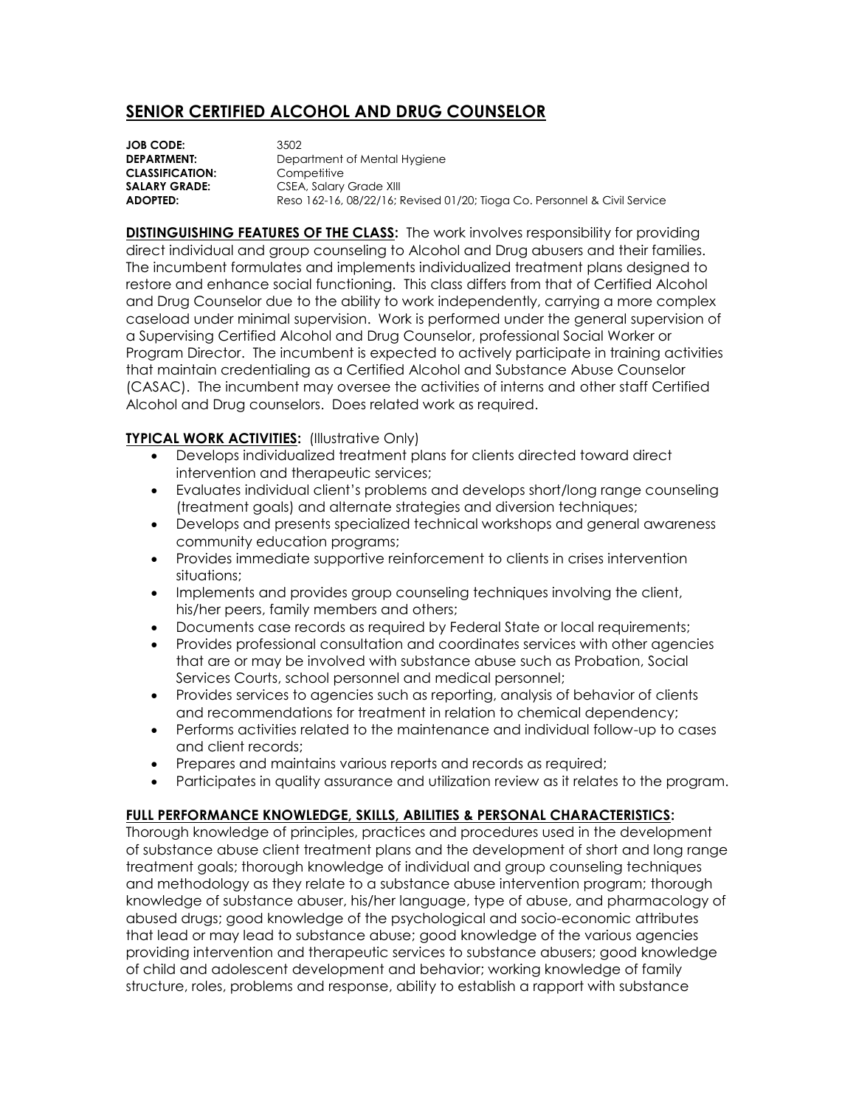## **SENIOR CERTIFIED ALCOHOL AND DRUG COUNSELOR**

**JOB CODE:** 3502 **CLASSIFICATION:** Competitive

**DEPARTMENT:** Department of Mental Hygiene **SALARY GRADE:** CSEA, Salary Grade XIII **ADOPTED:** Reso 162-16, 08/22/16; Revised 01/20; Tioga Co. Personnel & Civil Service

**DISTINGUISHING FEATURES OF THE CLASS:** The work involves responsibility for providing direct individual and group counseling to Alcohol and Drug abusers and their families. The incumbent formulates and implements individualized treatment plans designed to restore and enhance social functioning. This class differs from that of Certified Alcohol and Drug Counselor due to the ability to work independently, carrying a more complex caseload under minimal supervision. Work is performed under the general supervision of a Supervising Certified Alcohol and Drug Counselor, professional Social Worker or Program Director. The incumbent is expected to actively participate in training activities that maintain credentialing as a Certified Alcohol and Substance Abuse Counselor (CASAC). The incumbent may oversee the activities of interns and other staff Certified Alcohol and Drug counselors. Does related work as required.

## **TYPICAL WORK ACTIVITIES:** (Illustrative Only)

- Develops individualized treatment plans for clients directed toward direct intervention and therapeutic services;
- Evaluates individual client's problems and develops short/long range counseling (treatment goals) and alternate strategies and diversion techniques;
- Develops and presents specialized technical workshops and general awareness community education programs;
- Provides immediate supportive reinforcement to clients in crises intervention situations;
- Implements and provides group counseling techniques involving the client, his/her peers, family members and others;
- Documents case records as required by Federal State or local requirements;
- Provides professional consultation and coordinates services with other agencies that are or may be involved with substance abuse such as Probation, Social Services Courts, school personnel and medical personnel;
- Provides services to agencies such as reporting, analysis of behavior of clients and recommendations for treatment in relation to chemical dependency;
- Performs activities related to the maintenance and individual follow-up to cases and client records;
- Prepares and maintains various reports and records as required;
- Participates in quality assurance and utilization review as it relates to the program.

## **FULL PERFORMANCE KNOWLEDGE, SKILLS, ABILITIES & PERSONAL CHARACTERISTICS:**

Thorough knowledge of principles, practices and procedures used in the development of substance abuse client treatment plans and the development of short and long range treatment goals; thorough knowledge of individual and group counseling techniques and methodology as they relate to a substance abuse intervention program; thorough knowledge of substance abuser, his/her language, type of abuse, and pharmacology of abused drugs; good knowledge of the psychological and socio-economic attributes that lead or may lead to substance abuse; good knowledge of the various agencies providing intervention and therapeutic services to substance abusers; good knowledge of child and adolescent development and behavior; working knowledge of family structure, roles, problems and response, ability to establish a rapport with substance